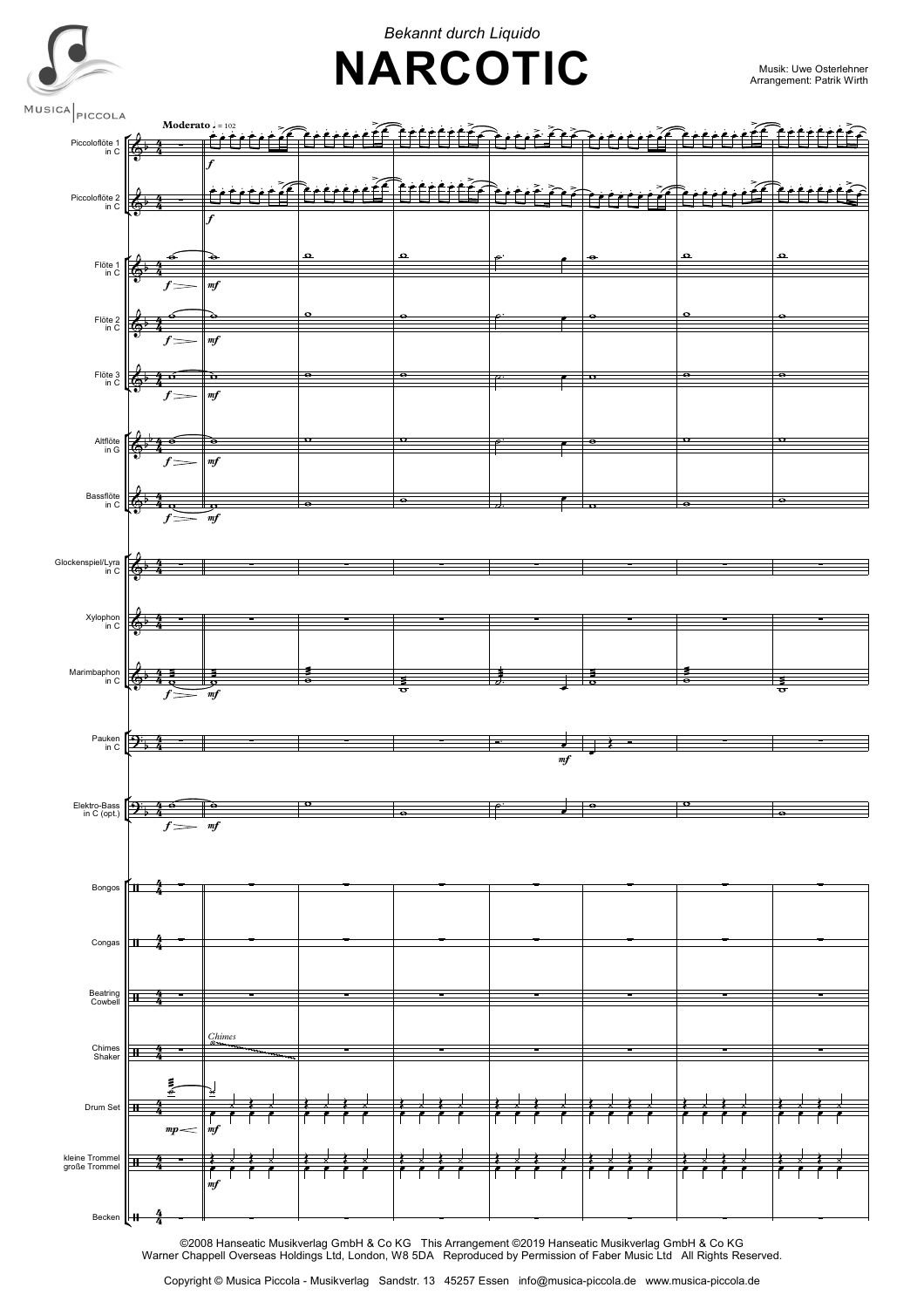

## Musik: Uwe Osterlehner **NARCOTIC** Arrangement: Patrik Wirth *Bekannt durch Liquido*



Warner Chappell Overseas Holdings Ltd, London, W8 5DA Reproduced by Permission of Faber Music Ltd All Rights Reserved. Copyright © Musica Piccola - Musikverlag Sandstr. 13 45257 Essen info@musica-piccola.de www.musica-piccola.de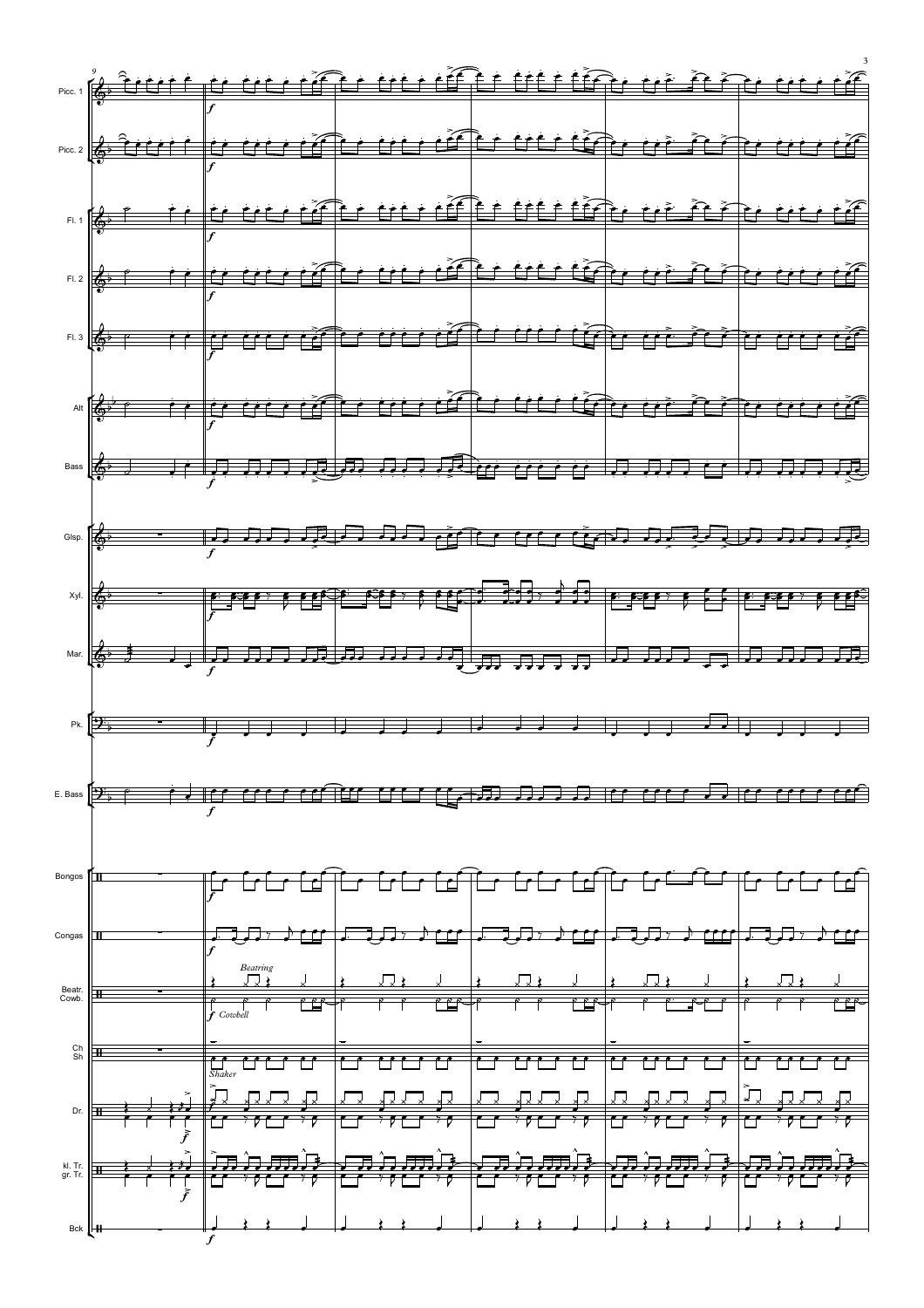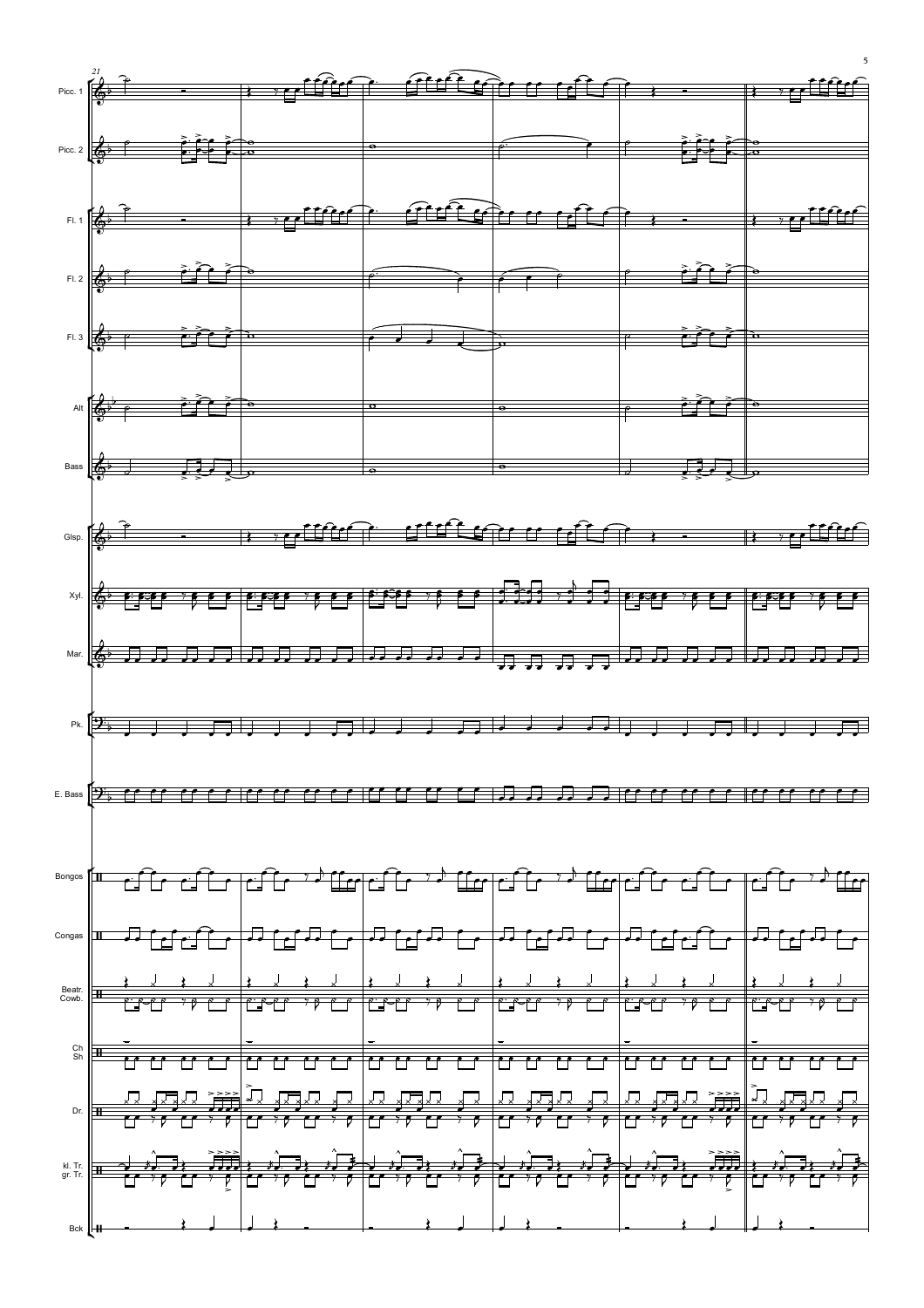

5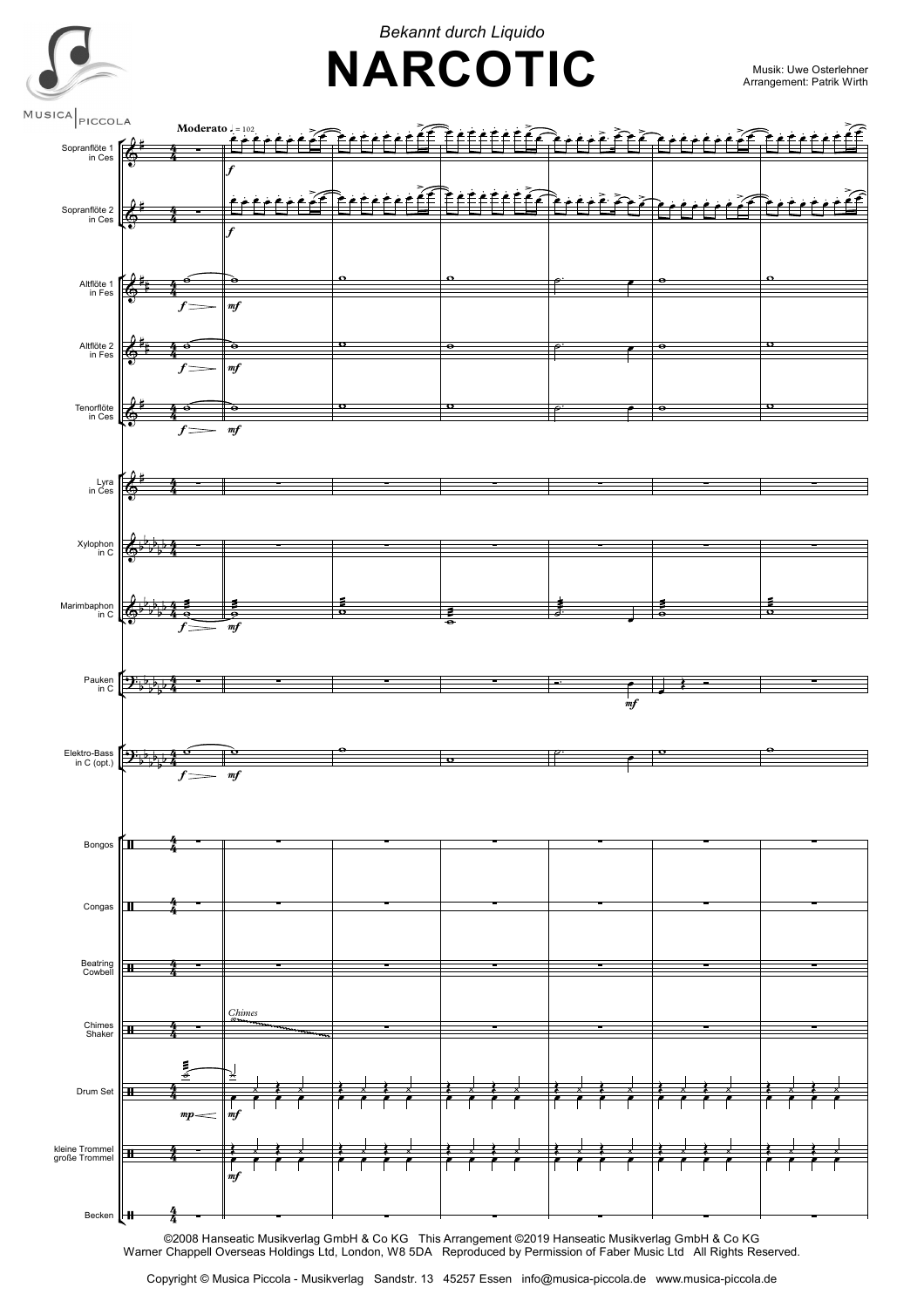

## Musik: Uwe Osterlehner **NARCOTIC** Arrangement: Patrik Wirth *Bekannt durch Liquido*



Warner Chappell Overseas Holdings Ltd, London, W8 5DA Reproduced by Permission of Faber Music Ltd All Rights Reserved.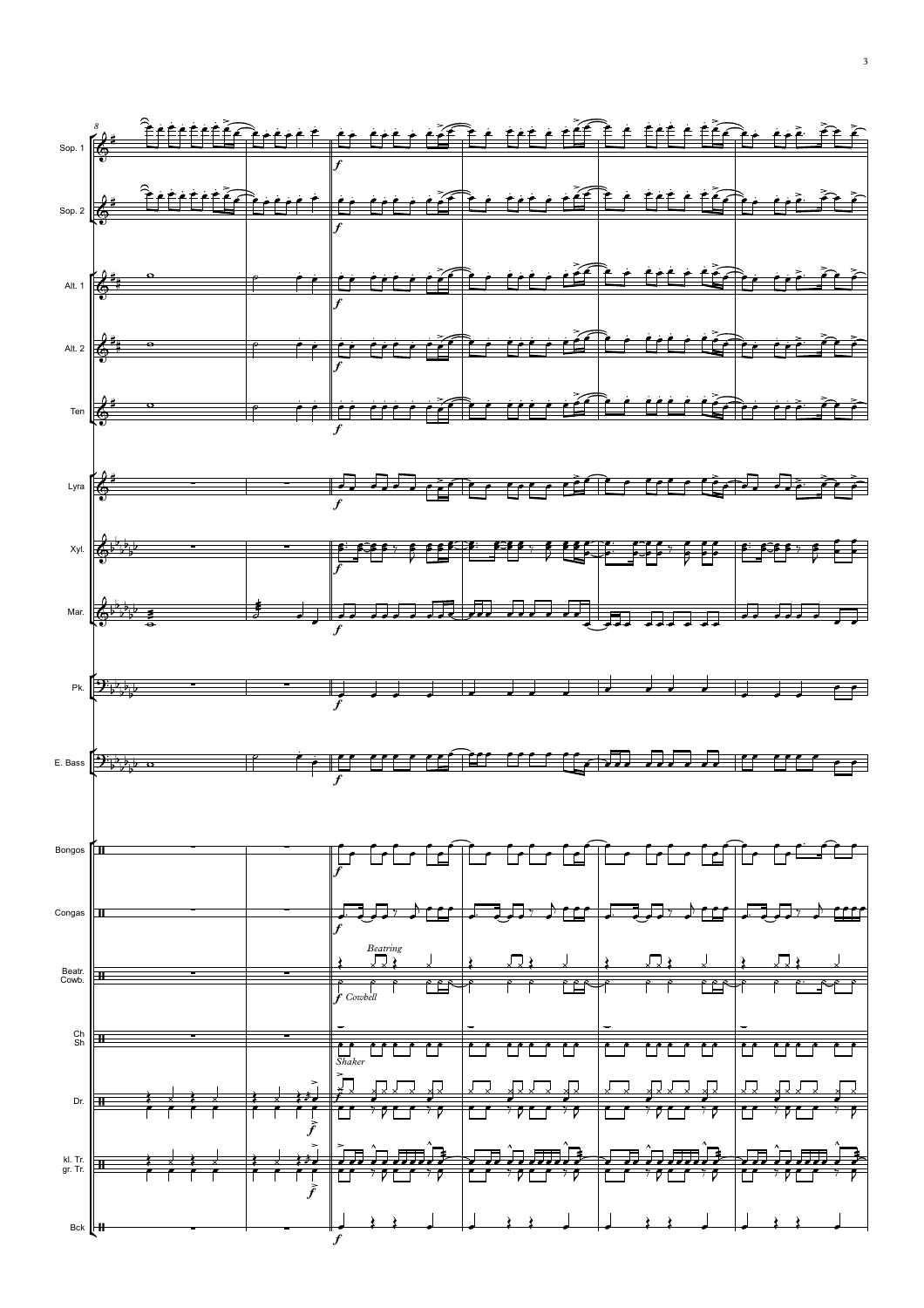